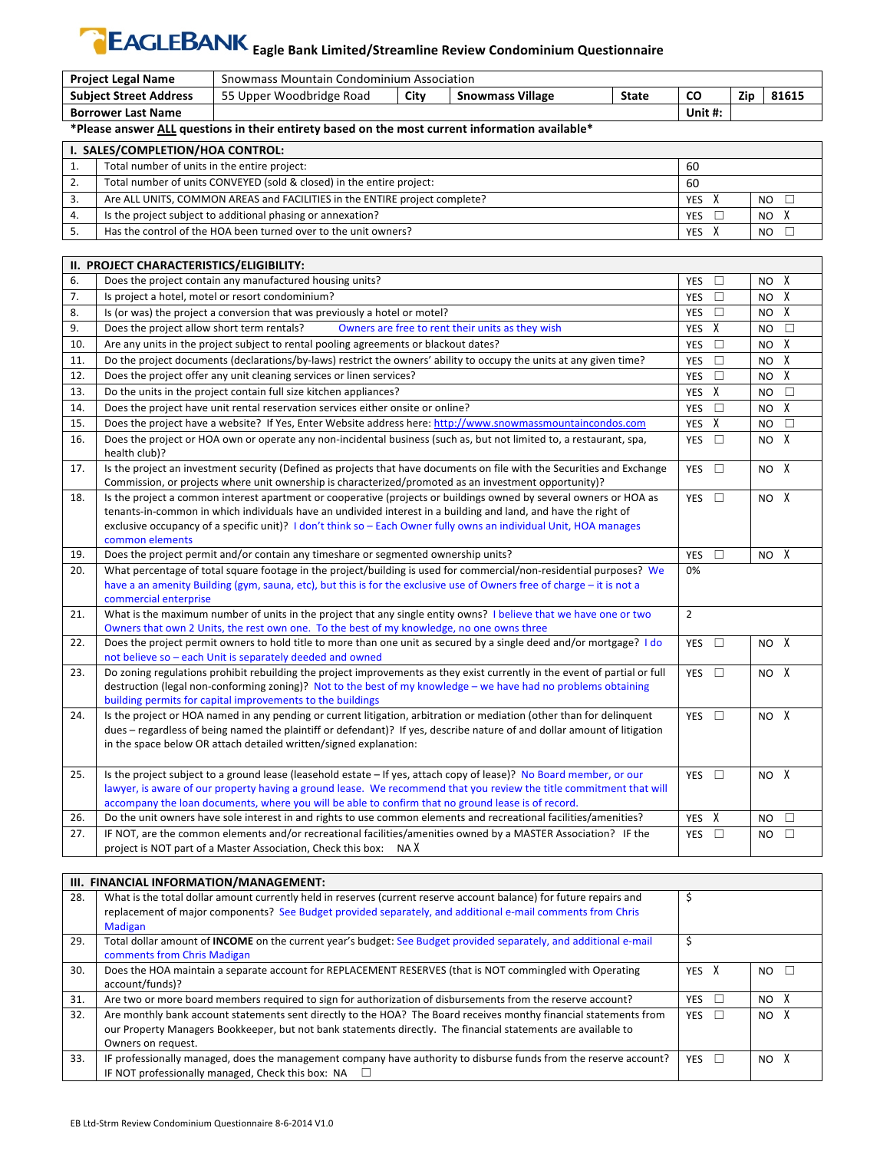## **EAGLEBANK** Eagle Bank Limited/Streamline Review Condominium Questionnaire

| <b>Project Legal Name</b>     |                                                                                                                    | Snowmass Mountain Condominium Association                                                                                                                                                                                                     |      |                                                  |              |                      |     |                 |              |
|-------------------------------|--------------------------------------------------------------------------------------------------------------------|-----------------------------------------------------------------------------------------------------------------------------------------------------------------------------------------------------------------------------------------------|------|--------------------------------------------------|--------------|----------------------|-----|-----------------|--------------|
| <b>Subject Street Address</b> |                                                                                                                    | 55 Upper Woodbridge Road                                                                                                                                                                                                                      | City | <b>Snowmass Village</b>                          | <b>State</b> | CO                   | Zip |                 | 81615        |
| <b>Borrower Last Name</b>     |                                                                                                                    |                                                                                                                                                                                                                                               |      |                                                  |              | Unit #:              |     |                 |              |
|                               | *Please answer ALL questions in their entirety based on the most current information available*                    |                                                                                                                                                                                                                                               |      |                                                  |              |                      |     |                 |              |
|                               | I. SALES/COMPLETION/HOA CONTROL:                                                                                   |                                                                                                                                                                                                                                               |      |                                                  |              |                      |     |                 |              |
| 1.                            | Total number of units in the entire project:                                                                       |                                                                                                                                                                                                                                               |      |                                                  |              | 60                   |     |                 |              |
| 2.                            |                                                                                                                    | Total number of units CONVEYED (sold & closed) in the entire project:                                                                                                                                                                         |      |                                                  |              | 60                   |     |                 |              |
| 3.                            |                                                                                                                    | Are ALL UNITS, COMMON AREAS and FACILITIES in the ENTIRE project complete?                                                                                                                                                                    |      |                                                  |              | YES<br>X             |     | <b>NO</b>       | □            |
| 4.                            |                                                                                                                    | Is the project subject to additional phasing or annexation?                                                                                                                                                                                   |      |                                                  |              | <b>YES</b><br>$\Box$ |     | NO.             | X            |
| 5.                            |                                                                                                                    | Has the control of the HOA been turned over to the unit owners?                                                                                                                                                                               |      |                                                  |              | X<br>YES             |     | NO.             | П            |
|                               |                                                                                                                    |                                                                                                                                                                                                                                               |      |                                                  |              |                      |     |                 |              |
| н.                            | PROJECT CHARACTERISTICS/ELIGIBILITY:                                                                               |                                                                                                                                                                                                                                               |      |                                                  |              |                      |     |                 |              |
| 6.                            |                                                                                                                    | Does the project contain any manufactured housing units?                                                                                                                                                                                      |      |                                                  |              | YES<br>□             |     | NO.             | Х            |
| 7.                            |                                                                                                                    | Is project a hotel, motel or resort condominium?                                                                                                                                                                                              |      |                                                  |              | YES<br>$\Box$        |     | <b>NO</b>       | Х            |
| 8.                            |                                                                                                                    | Is (or was) the project a conversion that was previously a hotel or motel?                                                                                                                                                                    |      |                                                  |              | $\Box$<br>YES        |     | NO.             | Χ            |
| 9.                            | Does the project allow short term rentals?                                                                         |                                                                                                                                                                                                                                               |      | Owners are free to rent their units as they wish |              | Х<br><b>YES</b>      |     | NO.             | П            |
| 10.                           |                                                                                                                    | Are any units in the project subject to rental pooling agreements or blackout dates?                                                                                                                                                          |      |                                                  |              | $\Box$<br>YES        |     | NO.             | Х            |
| 11.                           |                                                                                                                    | Do the project documents (declarations/by-laws) restrict the owners' ability to occupy the units at any given time?                                                                                                                           |      |                                                  |              | YES<br>□             |     | NO.             | $\mathsf{X}$ |
| 12.                           |                                                                                                                    | Does the project offer any unit cleaning services or linen services?                                                                                                                                                                          |      |                                                  |              | YES<br>□             |     | NO.             | Χ            |
| 13.                           |                                                                                                                    | Do the units in the project contain full size kitchen appliances?                                                                                                                                                                             |      |                                                  |              | <b>YES</b><br>X      |     | NO.             | □            |
| 14.                           | Does the project have unit rental reservation services either onsite or online?                                    |                                                                                                                                                                                                                                               |      | $\Box$<br><b>YES</b>                             |              | NO.                  | Χ   |                 |              |
| 15.                           |                                                                                                                    | Does the project have a website? If Yes, Enter Website address here: http://www.snowmassmountaincondos.com                                                                                                                                    |      |                                                  |              | Х<br>YES             |     | NO              | □            |
| 16.                           | health club)?                                                                                                      | Does the project or HOA own or operate any non-incidental business (such as, but not limited to, a restaurant, spa,                                                                                                                           |      |                                                  |              | □<br>YES             |     | NO.             | X            |
| 17.                           |                                                                                                                    | Is the project an investment security (Defined as projects that have documents on file with the Securities and Exchange<br>Commission, or projects where unit ownership is characterized/promoted as an investment opportunity)?              |      |                                                  |              | <b>YES</b><br>□      |     | NO <sub>X</sub> |              |
| 18.                           | Is the project a common interest apartment or cooperative (projects or buildings owned by several owners or HOA as |                                                                                                                                                                                                                                               |      | YES<br>$\Box$                                    |              | NO X                 |     |                 |              |
|                               |                                                                                                                    | tenants-in-common in which individuals have an undivided interest in a building and land, and have the right of                                                                                                                               |      |                                                  |              |                      |     |                 |              |
|                               |                                                                                                                    | exclusive occupancy of a specific unit)? I don't think so – Each Owner fully owns an individual Unit, HOA manages                                                                                                                             |      |                                                  |              |                      |     |                 |              |
|                               | common elements                                                                                                    |                                                                                                                                                                                                                                               |      |                                                  |              |                      |     |                 |              |
| 19.                           |                                                                                                                    | Does the project permit and/or contain any timeshare or segmented ownership units?                                                                                                                                                            |      |                                                  |              | □<br>YES             |     | NO <sub>X</sub> |              |
| 20.                           |                                                                                                                    | What percentage of total square footage in the project/building is used for commercial/non-residential purposes? We<br>have a an amenity Building (gym, sauna, etc), but this is for the exclusive use of Owners free of charge - it is not a |      |                                                  |              | 0%                   |     |                 |              |
|                               | commercial enterprise                                                                                              |                                                                                                                                                                                                                                               |      |                                                  |              |                      |     |                 |              |
| 21.                           |                                                                                                                    | What is the maximum number of units in the project that any single entity owns? I believe that we have one or two                                                                                                                             |      |                                                  |              | $\overline{2}$       |     |                 |              |
|                               |                                                                                                                    | Owners that own 2 Units, the rest own one. To the best of my knowledge, no one owns three                                                                                                                                                     |      |                                                  |              |                      |     |                 |              |
| 22.                           |                                                                                                                    | Does the project permit owners to hold title to more than one unit as secured by a single deed and/or mortgage? I do<br>not believe so - each Unit is separately deeded and owned                                                             |      |                                                  |              | YES<br>□             |     | NO <sub>X</sub> |              |
| 23.                           |                                                                                                                    | Do zoning regulations prohibit rebuilding the project improvements as they exist currently in the event of partial or full                                                                                                                    |      |                                                  |              | YES<br>$\Box$        |     | NO <sub>X</sub> |              |
|                               |                                                                                                                    | destruction (legal non-conforming zoning)? Not to the best of my knowledge $-$ we have had no problems obtaining                                                                                                                              |      |                                                  |              |                      |     |                 |              |
|                               |                                                                                                                    | building permits for capital improvements to the buildings                                                                                                                                                                                    |      |                                                  |              |                      |     |                 |              |
| 24.                           |                                                                                                                    | Is the project or HOA named in any pending or current litigation, arbitration or mediation (other than for delinguent                                                                                                                         |      |                                                  |              | YES<br>$\Box$        |     | NO <sub>X</sub> |              |
|                               |                                                                                                                    | dues - regardless of being named the plaintiff or defendant)? If yes, describe nature of and dollar amount of litigation                                                                                                                      |      |                                                  |              |                      |     |                 |              |
|                               |                                                                                                                    | in the space below OR attach detailed written/signed explanation:                                                                                                                                                                             |      |                                                  |              |                      |     |                 |              |
| 25.                           |                                                                                                                    | Is the project subject to a ground lease (leasehold estate - If yes, attach copy of lease)? No Board member, or our                                                                                                                           |      |                                                  |              | YES $\square$        |     | NO <sub>X</sub> |              |
|                               |                                                                                                                    | lawyer, is aware of our property having a ground lease. We recommend that you review the title commitment that will                                                                                                                           |      |                                                  |              |                      |     |                 |              |
|                               |                                                                                                                    | accompany the loan documents, where you will be able to confirm that no ground lease is of record.                                                                                                                                            |      |                                                  |              |                      |     |                 |              |
| 26.                           |                                                                                                                    | Do the unit owners have sole interest in and rights to use common elements and recreational facilities/amenities?                                                                                                                             |      |                                                  |              | YES X                |     | NO              | $\Box$       |
| 27.                           |                                                                                                                    | IF NOT, are the common elements and/or recreational facilities/amenities owned by a MASTER Association? IF the                                                                                                                                |      |                                                  |              | YES $\square$        |     | $NO$ $\Box$     |              |
|                               |                                                                                                                    | project is NOT part of a Master Association, Check this box: NAX                                                                                                                                                                              |      |                                                  |              |                      |     |                 |              |

| III. FINANCIAL INFORMATION/MANAGEMENT: |                                                                                                                                                                                                                                                          |                      |      |  |
|----------------------------------------|----------------------------------------------------------------------------------------------------------------------------------------------------------------------------------------------------------------------------------------------------------|----------------------|------|--|
| 28.                                    | What is the total dollar amount currently held in reserves (current reserve account balance) for future repairs and<br>replacement of major components? See Budget provided separately, and additional e-mail comments from Chris<br><b>Madigan</b>      |                      |      |  |
| 29.                                    | Total dollar amount of INCOME on the current year's budget: See Budget provided separately, and additional e-mail<br>comments from Chris Madigan                                                                                                         |                      |      |  |
| 30.                                    | Does the HOA maintain a separate account for REPLACEMENT RESERVES (that is NOT commingled with Operating<br>account/funds)?                                                                                                                              | <b>YES</b>           | NO.  |  |
| 31.                                    | Are two or more board members required to sign for authorization of disbursements from the reserve account?                                                                                                                                              | <b>YES</b><br>$\Box$ | NO.  |  |
| 32.                                    | Are monthly bank account statements sent directly to the HOA? The Board receives monthy financial statements from<br>our Property Managers Bookkeeper, but not bank statements directly. The financial statements are available to<br>Owners on request. | YES<br>$\Box$        | NO X |  |
| 33.                                    | IF professionally managed, does the management company have authority to disburse funds from the reserve account?                                                                                                                                        | YES<br>$\Box$        | NO.  |  |
|                                        | IF NOT professionally managed, Check this box: $NA$                                                                                                                                                                                                      |                      |      |  |